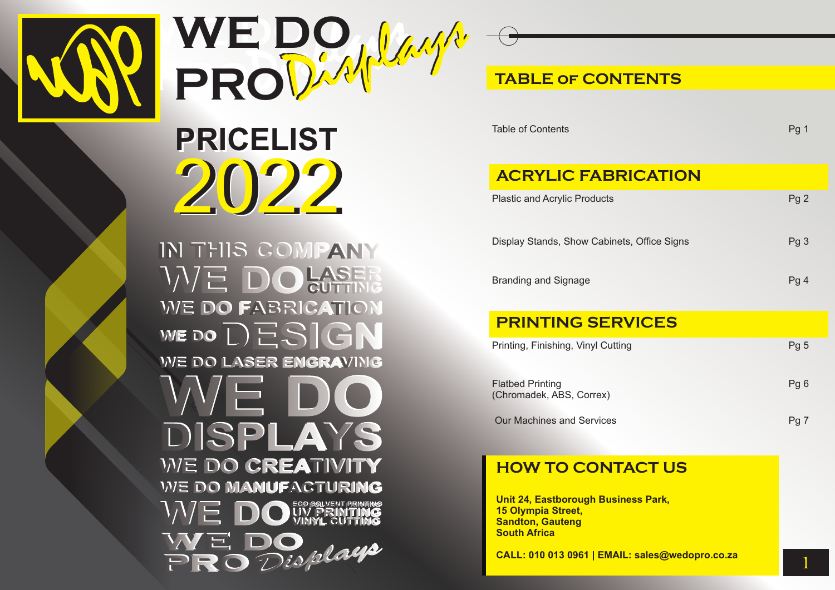

**WE** D PRODAM<sup>LA</sup> **WE DO PRO**Displays

2021 2022 2022**PRICELIST**

IN THIS COMPANY WE DO LASER WE DO FABRICATION WE DO  $\Box$   $\Xi$   $S$   $|\Theta|$ WE DO LASER ENGRAVING DISPLAYS **WE DO CREATIVITY WE DO MANUFACTURING** OUV PRINTING Displays F

## **TABLE of CONTENTS**

Table of Contents **Pg 1** 

## **ACRYLIC FABRICATION**

| <b>Plastic and Acrylic Products</b>         | Pg2             |
|---------------------------------------------|-----------------|
| Display Stands, Show Cabinets, Office Signs | Pg <sub>3</sub> |
| <b>Branding and Signage</b>                 | Pg <sub>4</sub> |

## **PRINTING SERVICES**

| Printing, Finishing, Vinyl Cutting                  | Pq 5 |
|-----------------------------------------------------|------|
| <b>Flatbed Printing</b><br>(Chromadek, ABS, Correx) | Pq 6 |
| <b>Our Machines and Services</b>                    | Pg 7 |

### **HOW TO CONTACT US**

**Unit 24, Eastborough Business Park, 15 Olympia Street, Sandton, Gauteng South Africa**

**CALL: 010 013 0961 | EMAIL: sales@wedopro.co.za**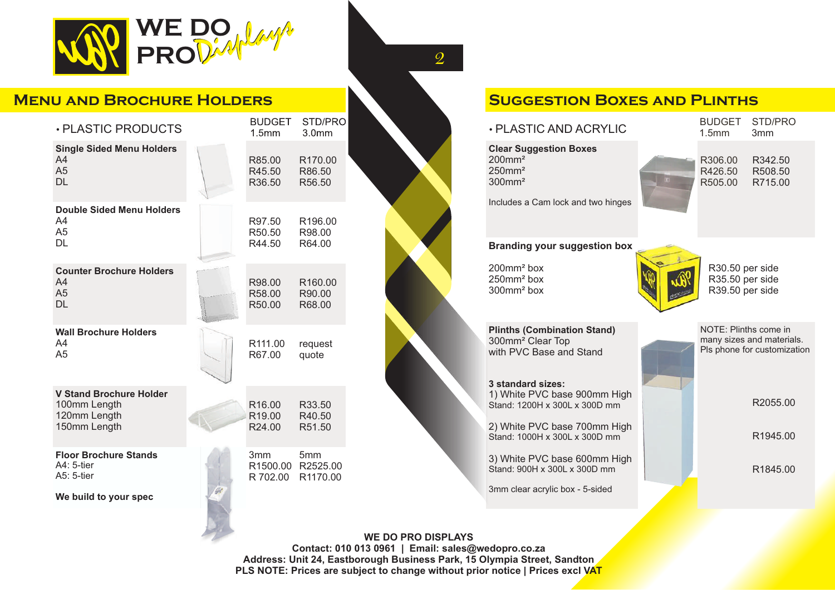

### **Menu and Brochure Holders**

| · PLASTIC PRODUCTS                                                             | <b>BUDGET</b><br>1.5 <sub>mm</sub>                 | STD/PRO<br>3.0 <sub>mm</sub>                     |  |
|--------------------------------------------------------------------------------|----------------------------------------------------|--------------------------------------------------|--|
| <b>Single Sided Menu Holders</b><br>A4<br>A <sub>5</sub><br><b>DL</b>          | R85.00<br>R45.50<br>R36.50                         | R170.00<br>R86.50<br>R56.50                      |  |
| <b>Double Sided Menu Holders</b><br>A4<br>A <sub>5</sub><br><b>DL</b>          | R97.50<br>R50.50<br>R44.50                         | R196.00<br>R98.00<br>R64.00                      |  |
| <b>Counter Brochure Holders</b><br>A4<br>A <sub>5</sub><br><b>DL</b>           | R98.00<br>R <sub>58.00</sub><br>R50.00             | R <sub>160.00</sub><br>R90.00<br>R68.00          |  |
| <b>Wall Brochure Holders</b><br>A4<br>A <sub>5</sub>                           | R <sub>111.00</sub><br>R67.00                      | request<br>quote                                 |  |
| <b>V Stand Brochure Holder</b><br>100mm Length<br>120mm Length<br>150mm Length | R <sub>16.00</sub><br>R <sub>19.00</sub><br>R24.00 | R33.50<br>R40.50<br>R51.50                       |  |
| <b>Floor Brochure Stands</b><br>A4: 5-tier<br>A5: 5-tier                       | 3 <sub>mm</sub><br>R 702.00                        | 5 <sub>mm</sub><br>R1500.00 R2525.00<br>R1170.00 |  |
| We build to your spec                                                          |                                                    |                                                  |  |

### **Suggestion Boxes and Plinths**

| · PLASTIC AND ACRYLIC                                                                                                                          | <b>BUDGET</b><br>1.5 <sub>mm</sub>                                | STD/PRO<br>3 <sub>mm</sub>                               |
|------------------------------------------------------------------------------------------------------------------------------------------------|-------------------------------------------------------------------|----------------------------------------------------------|
| <b>Clear Suggestion Boxes</b><br>$200$ mm <sup>2</sup><br>$250$ mm <sup>2</sup><br>$300$ mm <sup>2</sup><br>Includes a Cam lock and two hinges | R306.00<br>R426.50<br>R505.00                                     | R342.50<br>R508.50<br>R715.00                            |
| <b>Branding your suggestion box</b>                                                                                                            |                                                                   |                                                          |
| $200$ mm <sup>2</sup> box<br>$250$ mm <sup>2</sup> box<br>$300$ mm <sup>2</sup> box                                                            | R <sub>30.50</sub> per side<br>R35.50 per side<br>R39.50 per side |                                                          |
| <b>Plinths (Combination Stand)</b><br>300mm <sup>2</sup> Clear Top<br>with PVC Base and Stand                                                  | NOTE: Plinths come in                                             | many sizes and materials.<br>Pls phone for customization |
| 3 standard sizes:<br>1) White PVC base 900mm High<br>Stand: 1200H x 300L x 300D mm                                                             |                                                                   | R2055.00                                                 |
| 2) White PVC base 700mm High<br>Stand: 1000H x 300L x 300D mm                                                                                  |                                                                   | R <sub>1945.00</sub>                                     |
| 3) White PVC base 600mm High<br>Stand: 900H x 300L x 300D mm                                                                                   |                                                                   | R <sub>1845.00</sub>                                     |
| 3mm clear acrylic box - 5-sided                                                                                                                |                                                                   |                                                          |
|                                                                                                                                                |                                                                   |                                                          |

#### **WE DO PRO DISPLAYS**

2

**Contact: 010 013 0961 | Email: sales@wedopro.co.za Address: Unit 24, Eastborough Business Park, 15 Olympia Street, Sandton PLS NOTE: Prices are subject to change without prior notice | Prices excl VAT**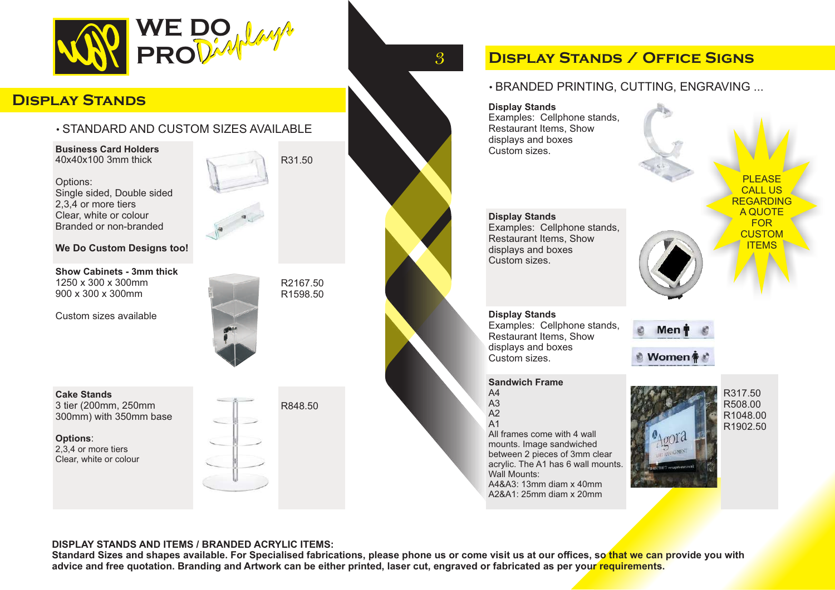

### **Display Stands**

### • STANDARD AND CUSTOM SIZES AVAILABLE

**Business Card Holders** 40x40x100 3mm thick

Options: Single sided, Double sided 2,3,4 or more tiers Clear, white or colour Branded or non-branded

#### **We Do Custom Designs too!**

**Show Cabinets - 3mm thick** 1250 x 300 x 300mm 900 x 300 x 300mm

Custom sizes available

R31.50

R2167.50 R1598.50



**Cake Stands** 3 tier (200mm, 250mm 300mm) with 350mm base

**Options**: 2,3,4 or more tiers Clear, white or colour



# **Display Stands / Office Signs**

### • BRANDED PRINTING, CUTTING, ENGRAVING ...

**Display Stands** Examples: Cellphone stands, Restaurant Items, Show displays and boxes Custom sizes.

**Display Stands** Examples: Cellphone stands, Restaurant Items, Show displays and boxes Custom sizes.

**Display Stands** Examples: Cellphone stands, Restaurant Items, Show displays and boxes Custom sizes.

#### **Sandwich Frame**

- A4 A3
- $A2$
- A1

All frames come with 4 wall mounts. Image sandwiched between 2 pieces of 3mm clear acrylic. The A1 has 6 wall mounts. Wall Mounts: A4&A3: 13mm diam x 40mm A2&A1: 25mm diam x 20mm



Men

Women

R317.50 R508.00 R1048.00 R1902.50

**PLEASE** CALL US **REGARDING** A QUOTE FOR **CUSTOM** ITEMS



3

#### **DISPLAY STANDS AND ITEMS / BRANDED ACRYLIC ITEMS:**

**Standard Sizes and shapes available. For Specialised fabrications, please phone us or come visit us at our offices, so that we can provide you with advice and free quotation. Branding and Artwork can be either printed, laser cut, engraved or fabricated as per your requirements.**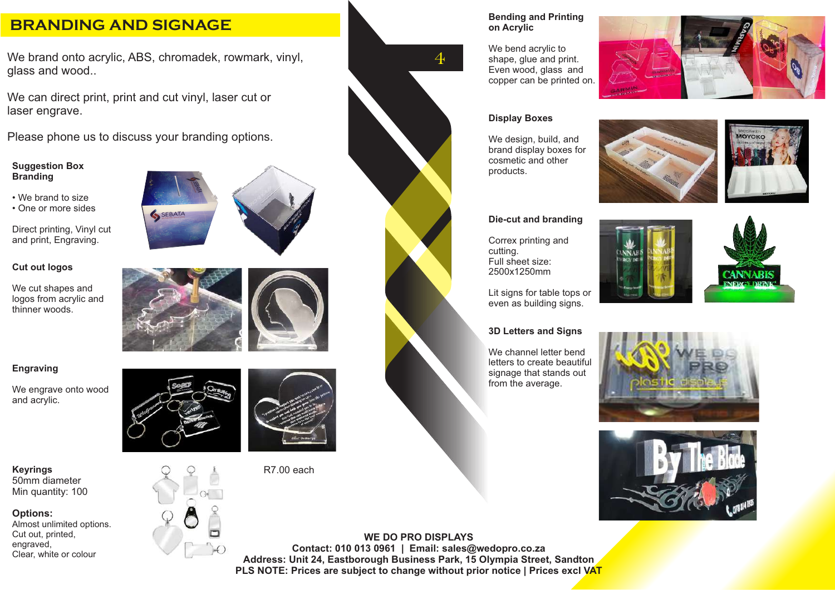### **BRANDING AND SIGNAGE**

We brand onto acrylic, ABS, chromadek, rowmark, vinyl, glass and wood..

We can direct print, print and cut vinyl, laser cut or laser engrave.

Please phone us to discuss your branding options.

#### **Suggestion Box Branding**

- We brand to size
- One or more sides

Direct printing, Vinyl cut and print, Engraving.

#### **Cut out logos**

We cut shapes and logos from acrylic and thinner woods.

#### **Engraving**

We engrave onto wood and acrylic.

**Keyrings** 50mm diameter Min quantity: 100

#### **Options:**

Almost unlimited options. Cut out, printed, engraved, Clear, white or colour









We bend acrylic to shape, glue and print. Even wood, glass and copper can be printed on.



#### **Display Boxes**

4

We design, build, and brand display boxes for cosmetic and other products.





#### **Die-cut and branding**

Correx printing and cutting. Full sheet size: 2500x1250mm

Lit signs for table tops or even as building signs.

#### **3D Letters and Signs**

We channel letter bend letters to create beautiful signage that stands out from the average.









**WE DO PRO DISPLAYS Contact: 010 013 0961 | Email: sales@wedopro.co.za Address: Unit 24, Eastborough Business Park, 15 Olympia Street, Sandton PLS NOTE: Prices are subject to change without prior notice | Prices excl VAT**

SEBATA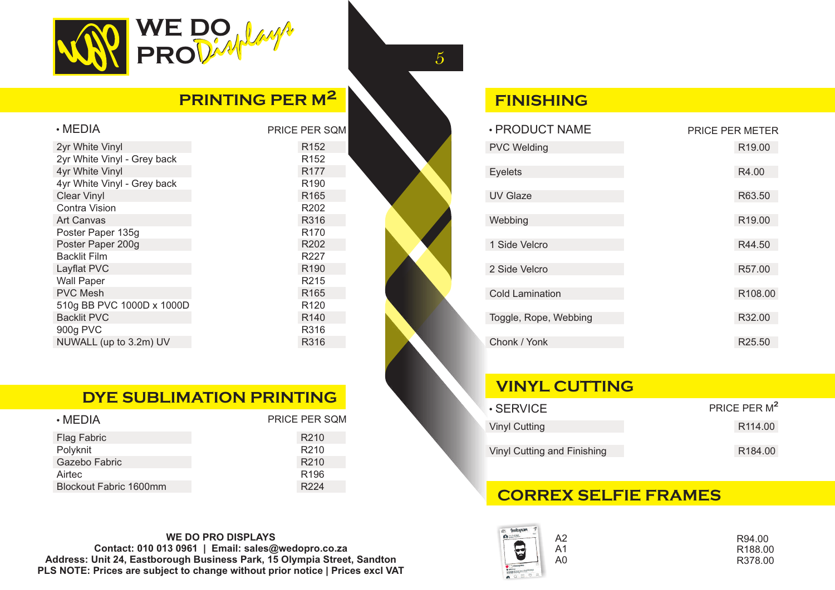

## **PRINTING PER M²**

| $\cdot$ MEDIA               | <b>PRICE PER SOM</b> |
|-----------------------------|----------------------|
| 2yr White Vinyl             | R <sub>152</sub>     |
| 2yr White Vinyl - Grey back | R <sub>152</sub>     |
| 4yr White Vinyl             | R <sub>177</sub>     |
| 4yr White Vinyl - Grey back | R <sub>190</sub>     |
| <b>Clear Vinyl</b>          | R <sub>165</sub>     |
| Contra Vision               | R <sub>202</sub>     |
| <b>Art Canvas</b>           | R316                 |
| Poster Paper 135g           | R <sub>170</sub>     |
| Poster Paper 200g           | R <sub>202</sub>     |
| <b>Backlit Film</b>         | R227                 |
| Layflat PVC                 | R <sub>190</sub>     |
| <b>Wall Paper</b>           | R <sub>2</sub> 15    |
| <b>PVC Mesh</b>             | R <sub>165</sub>     |
| 510g BB PVC 1000D x 1000D   | R <sub>120</sub>     |
| <b>Backlit PVC</b>          | R <sub>140</sub>     |
| 900g PVC                    | R316                 |
| NUWALL (up to 3.2m) UV      | R316                 |
|                             |                      |

### **DYE SUBLIMATION PRINTING**

| $\cdot$ MEDIA          | PRICE PER SOM    |
|------------------------|------------------|
| Flag Fabric            | R <sub>210</sub> |
| Polyknit               | R <sub>210</sub> |
| Gazebo Fabric          | R <sub>210</sub> |
| Airtec                 | R <sub>196</sub> |
| Blockout Fabric 1600mm | R <sub>224</sub> |

#### **WE DO PRO DISPLAYS Contact: 010 013 0961 | Email: sales@wedopro.co.za Address: Unit 24, Eastborough Business Park, 15 Olympia Street, Sandton PLS NOTE: Prices are subject to change without prior notice | Prices excl VAT**

### **FINISHING**

5

| · PRODUCT NAME         | <b>PRICE PER METER</b> |
|------------------------|------------------------|
| <b>PVC Welding</b>     | R <sub>19.00</sub>     |
| <b>Eyelets</b>         | R4.00                  |
|                        |                        |
| <b>UV Glaze</b>        | R63.50                 |
| Webbing                | R <sub>19.00</sub>     |
|                        |                        |
| 1 Side Velcro          | R44.50                 |
| 2 Side Velcro          | R57.00                 |
|                        |                        |
| <b>Cold Lamination</b> | R108.00                |
| Toggle, Rope, Webbing  | R32.00                 |
|                        |                        |
| Chonk / Yonk           | R <sub>25.50</sub>     |

### **VINYL CUTTING**

| $\cdot$ SERVICE             | PRICE PER M <sup>2</sup> |
|-----------------------------|--------------------------|
| Vinyl Cutting               | R <sub>114.00</sub>      |
| Vinyl Cutting and Finishing | R <sub>184.00</sub>      |

### **CORREX SELFIE FRAMES**

| <b>Busknown</b> |    |         |
|-----------------|----|---------|
|                 | А2 | R94.00  |
| G               | Α1 | R188.00 |
|                 | A0 | R378.00 |
|                 |    |         |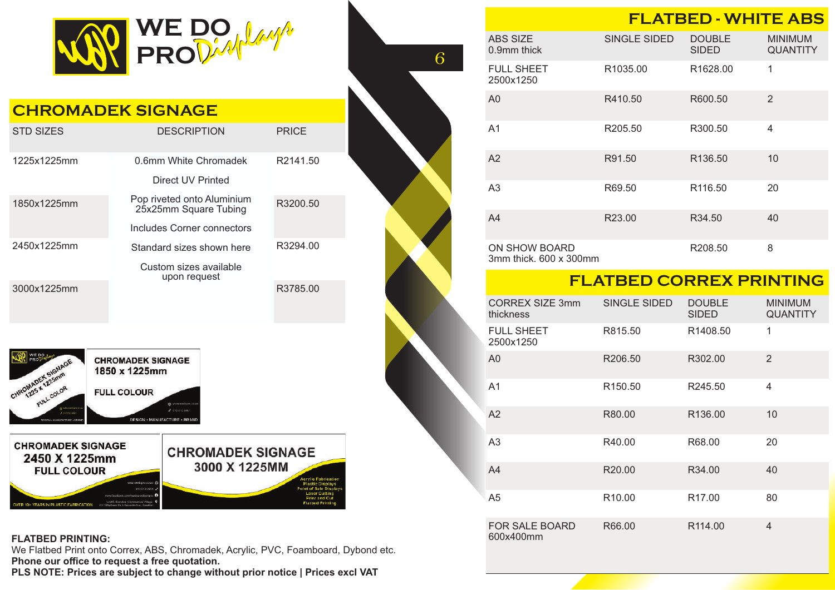

| <b>CHROMADEK SIGNAGE</b>                                                                                                                                                                                                                                                                                                                                                                                                            |                                                     |              |  |  |
|-------------------------------------------------------------------------------------------------------------------------------------------------------------------------------------------------------------------------------------------------------------------------------------------------------------------------------------------------------------------------------------------------------------------------------------|-----------------------------------------------------|--------------|--|--|
| <b>STD SIZES</b>                                                                                                                                                                                                                                                                                                                                                                                                                    | <b>DESCRIPTION</b>                                  | <b>PRICE</b> |  |  |
| 1225x1225mm                                                                                                                                                                                                                                                                                                                                                                                                                         | 0.6mm White Chromadek                               | R2141.50     |  |  |
|                                                                                                                                                                                                                                                                                                                                                                                                                                     | Direct UV Printed                                   |              |  |  |
| 1850x1225mm                                                                                                                                                                                                                                                                                                                                                                                                                         | Pop riveted onto Aluminium<br>25x25mm Square Tubing | R3200.50     |  |  |
|                                                                                                                                                                                                                                                                                                                                                                                                                                     | Includes Corner connectors                          |              |  |  |
| 2450x1225mm                                                                                                                                                                                                                                                                                                                                                                                                                         | Standard sizes shown here                           | R3294.00     |  |  |
|                                                                                                                                                                                                                                                                                                                                                                                                                                     | Custom sizes available<br>upon request              |              |  |  |
| 3000x1225mm                                                                                                                                                                                                                                                                                                                                                                                                                         |                                                     | R3785.00     |  |  |
| <b>CHROMADEK SIGNAGE</b><br>CHROMADEK SIGNAGE<br>1850 x 1225mm<br>FULL COLOR<br><b>FULL COLOUR</b><br>@ www.wedgero.co.za<br>2000000000<br>3 August 1960<br>DESIGN · MANUFACTURE · BRAND<br>DESIGN - MANUFACTURE - FRANK                                                                                                                                                                                                            |                                                     |              |  |  |
| <b>CHROMADEK SIGNAGE</b><br><b>CHROMADEK SIGNAGE</b><br>2450 X 1225mm<br>3000 X 1225MM<br><b>FULL COLOUR</b><br><b>Acrylic Fabrication</b><br><b>Plastic Displays</b><br>int of Sale Displays<br><b>Laser Cutting</b><br>www.facebook.com/vedoprodi<br>inci O<br><b>Print and Cut</b><br>Livit 5, Sandian Commingal Village.<br><b>Flatbed Printing</b><br>OVER 10+ YEARS IN PLASTIC FABRICATION<br>C.K. Marthews Dr. J. Sausante & |                                                     |              |  |  |

#### **FLATBED PRINTING:**

We Flatbed Print onto Correx, ABS, Chromadek, Acrylic, PVC, Foamboard, Dybond etc. **Phone our office to request a free quotation.**

**PLS NOTE: Prices are subject to change without prior notice | Prices excl VAT**

|                                         | <b>FLATBED - WHITE ABS</b> |                               |                                   |
|-----------------------------------------|----------------------------|-------------------------------|-----------------------------------|
| <b>ABS SIZE</b><br>$0.9$ mm thick       | SINGLE SIDED               | <b>DOUBLE</b><br><b>SIDED</b> | <b>MINIMUM</b><br><b>QUANTITY</b> |
| <b>FULL SHEET</b><br>2500x1250          | R <sub>1035.00</sub>       | R <sub>1628.00</sub>          | 1                                 |
| A0                                      | R410.50                    | R600.50                       | $\overline{2}$                    |
| A <sub>1</sub>                          | R205.50                    | R300.50                       | $\overline{\mathcal{A}}$          |
| A2                                      | R91.50                     | R <sub>136.50</sub>           | 10                                |
| A <sub>3</sub>                          | R69.50                     | R <sub>116.50</sub>           | 20                                |
| A4                                      | R23.00                     | R34.50                        | 40                                |
| ON SHOW BOARD<br>3mm thick. 600 x 300mm |                            | R208.50                       | 8                                 |

6

### **FLATBED CORREX PRINTING**

|  | <b>CORREX SIZE 3mm</b><br>thickness | SINGLE SIDED        | <b>DOUBLE</b><br><b>SIDED</b> | <b>MINIMUM</b><br><b>QUANTITY</b> |
|--|-------------------------------------|---------------------|-------------------------------|-----------------------------------|
|  | <b>FULL SHEET</b><br>2500x1250      | R815.50             | R1408.50                      | 1                                 |
|  | A <sub>0</sub>                      | R <sub>206.50</sub> | R302.00                       | 2                                 |
|  | A <sub>1</sub>                      | R <sub>150.50</sub> | R245.50                       | 4                                 |
|  | A2                                  | R80.00              | R <sub>136.00</sub>           | 10                                |
|  | A <sub>3</sub>                      | R40.00              | R68.00                        | 20                                |
|  | A4                                  | R <sub>20.00</sub>  | R34.00                        | 40                                |
|  | A5                                  | R <sub>10.00</sub>  | R <sub>17.00</sub>            | 80                                |
|  | <b>FOR SALE BOARD</b><br>600x400mm  | R66.00              | R <sub>114.00</sub>           | 4                                 |